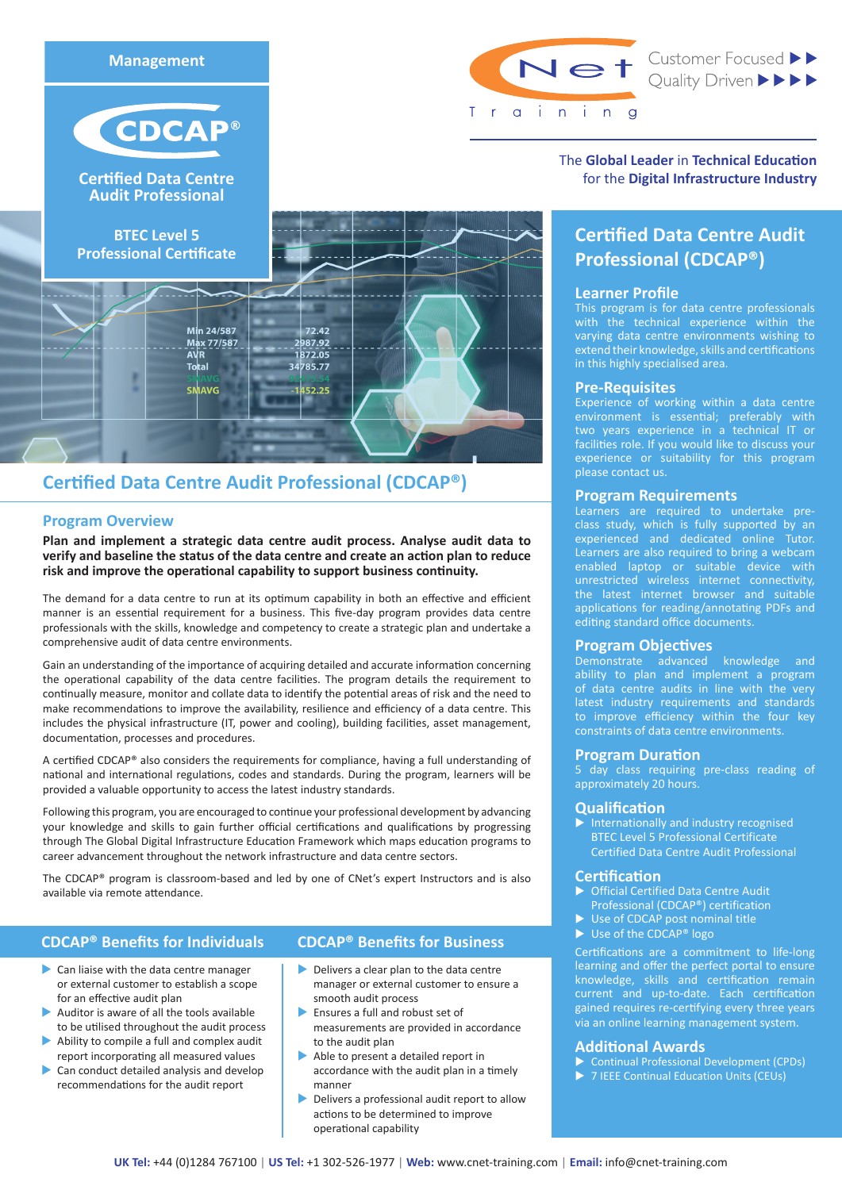



**Cer
fied Data Centre Audit Professional**



Min 24/587

Max 77/587

Total SMAVG



Net Customer Focused >>

The **Global Leader** in **Technical Education** for the **Digital Infrastructure Industry**

# **Certified Data Centre Audit Professional (CDCAP®)**

# **Learner Profile**

This program is for data centre professionals with the technical experience within the varying data centre environments wishing to extend their knowledge, skills and certifications in this highly specialised area.

# **Pre-Requisites**

Experience of working within a data centre environment is essential; preferably with two years experience in a technical IT or facilities role. If you would like to discuss your experience or suitability for this program please contact us.

# **Program Requirements**

Learners are required to undertake preclass study, which is fully supported by an experienced and dedicated online Tutor. Learners are also required to bring a webcam enabled laptop or suitable device with unrestricted wireless internet connectivity, the latest internet browser and suitable applications for reading/annotating PDFs and editing standard office documents.

# **Program Objectives**

Demonstrate advanced knowledge and ability to plan and implement a program of data centre audits in line with the very latest industry requirements and standards to improve efficiency within the four key constraints of data centre environments.

# **Program Duration**

5 day class requiring pre-class reading of approximately 20 hours.

# **Qualification**

 $\blacktriangleright$  Internationally and industry recognised BTEC Level 5 Professional Certificate Certified Data Centre Audit Professional

# **Certification**

- ▶ Official Certified Data Centre Audit Professional (CDCAP®) certification
- $\triangleright$  Use of CDCAP post nominal title
- $\blacktriangleright$  Use of the CDCAP® logo

Certifications are a commitment to life-long learning and offer the perfect portal to ensure knowledge, skills and certification remain current and up-to-date. Each certification gained requires re-certifying every three years via an online learning management system.

# **Additional Awards**

- ▶ Continual Professional Development (CPDs)
- $\triangleright$  7 IEEE Continual Education Units (CEUs)

# **Certified Data Centre Audit Professional (CDCAP®)**

# **Program Overview**

**Plan and implement a strategic data centre audit process. Analyse audit data to verify and baseline the status of the data centre and create an action plan to reduce risk and improve the operational capability to support business continuity.**

72.42

452.25

2987.92 1872.05 34785.77

The demand for a data centre to run at its optimum capability in both an effective and efficient manner is an essential requirement for a business. This five-day program provides data centre professionals with the skills, knowledge and competency to create a strategic plan and undertake a comprehensive audit of data centre environments.

Gain an understanding of the importance of acquiring detailed and accurate information concerning the operational capability of the data centre facilities. The program details the requirement to continually measure, monitor and collate data to identify the potential areas of risk and the need to make recommendations to improve the availability, resilience and efficiency of a data centre. This includes the physical infrastructure (IT, power and cooling), building facilities, asset management, documentation, processes and procedures.

A certified CDCAP® also considers the requirements for compliance, having a full understanding of national and international regulations, codes and standards. During the program, learners will be provided a valuable opportunity to access the latest industry standards.

Following this program, you are encouraged to continue your professional development by advancing your knowledge and skills to gain further official certifications and qualifications by progressing through The Global Digital Infrastructure Education Framework which maps education programs to career advancement throughout the network infrastructure and data centre sectors.

The CDCAP® program is classroom-based and led by one of CNet's expert Instructors and is also available via remote attendance.

# **CDCAP® Benefits for Individuals**

# **CDCAP® Benefits for Business**

- $\blacktriangleright$  Can liaise with the data centre manager or external customer to establish a scope for an effective audit plan
- Auditor is aware of all the tools available to be utilised throughout the audit process
- Ability to compile a full and complex audit report incorporating all measured values
- Can conduct detailed analysis and develop recommendations for the audit report
- $\blacktriangleright$  Delivers a clear plan to the data centre manager or external customer to ensure a smooth audit process
- $\blacktriangleright$  Ensures a full and robust set of measurements are provided in accordance to the audit plan
- $\blacktriangleright$  Able to present a detailed report in accordance with the audit plan in a timely manner
- $\blacktriangleright$  Delivers a professional audit report to allow actions to be determined to improve operational capability